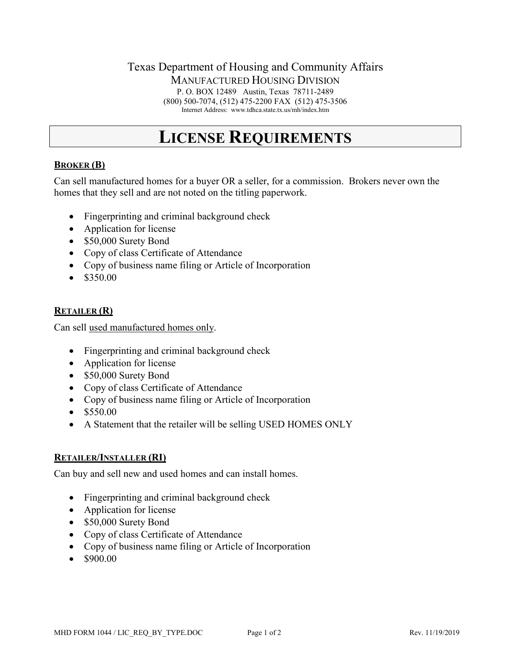### Texas Department of Housing and Community Affairs MANUFACTURED HOUSING DIVISION P. O. BOX 12489 Austin, Texas 78711-2489 (800) 500-7074, (512) 475-2200 FAX (512) 475-3506 Internet Address: www.tdhca.state.tx.us/mh/index.htm

# **LICENSE REQUIREMENTS**

## **BROKER (B)**

Can sell manufactured homes for a buyer OR a seller, for a commission. Brokers never own the homes that they sell and are not noted on the titling paperwork.

- Fingerprinting and criminal background check
- Application for license
- \$50,000 Surety Bond
- Copy of class Certificate of Attendance
- Copy of business name filing or Article of Incorporation
- $\bullet$  \$350.00

#### **RETAILER (R)**

Can sell used manufactured homes only.

- Fingerprinting and criminal background check
- Application for license
- \$50,000 Surety Bond
- Copy of class Certificate of Attendance
- Copy of business name filing or Article of Incorporation
- \$550.00
- A Statement that the retailer will be selling USED HOMES ONLY

#### **RETAILER/INSTALLER (RI)**

Can buy and sell new and used homes and can install homes.

- Fingerprinting and criminal background check
- Application for license
- \$50,000 Surety Bond
- Copy of class Certificate of Attendance
- Copy of business name filing or Article of Incorporation
- \$900.00